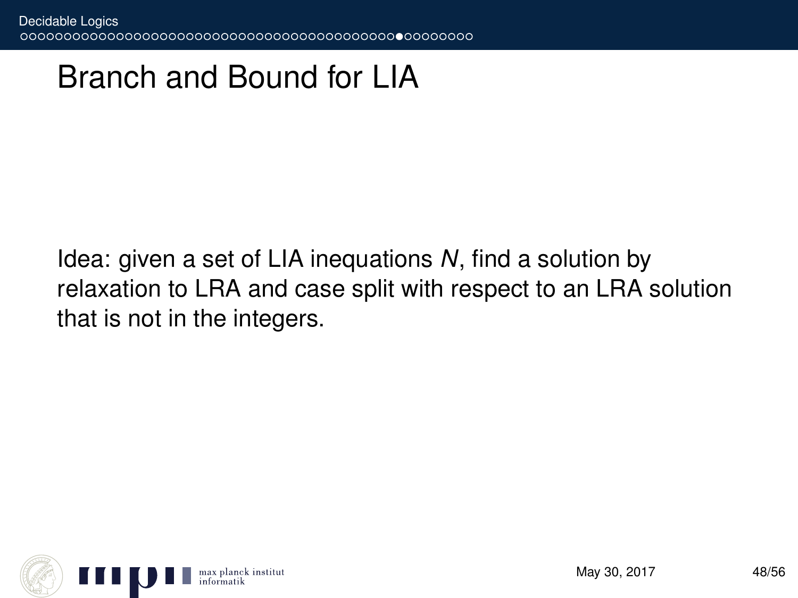# Branch and Bound for LIA

Idea: given a set of LIA inequations *N*, find a solution by relaxation to LRA and case split with respect to an LRA solution that is not in the integers.

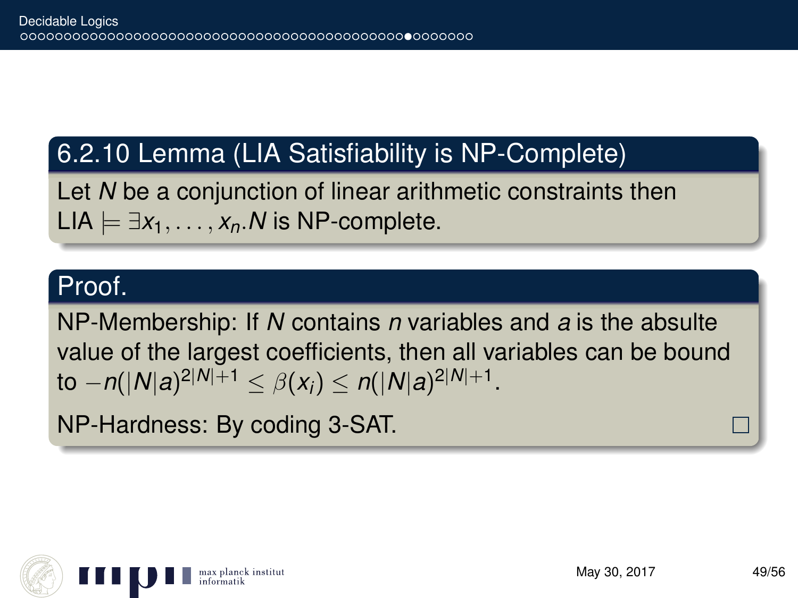## 6.2.10 Lemma (LIA Satisfiability is NP-Complete)

Let *N* be a conjunction of linear arithmetic constraints then LIA  $\models ∃*x*<sub>1</sub>, ..., *x*<sub>n</sub>.*N*$  is NP-complete.

#### Proof.

NP-Membership: If *N* contains *n* variables and *a* is the absulte value of the largest coefficients, then all variables can be bound  $\int_0^{\infty} t^{n-1} \, d^{n-1} \leq \beta(x_i) \leq n(|N|a)^{2|N|+1}.$ 

NP-Hardness: By coding 3-SAT.

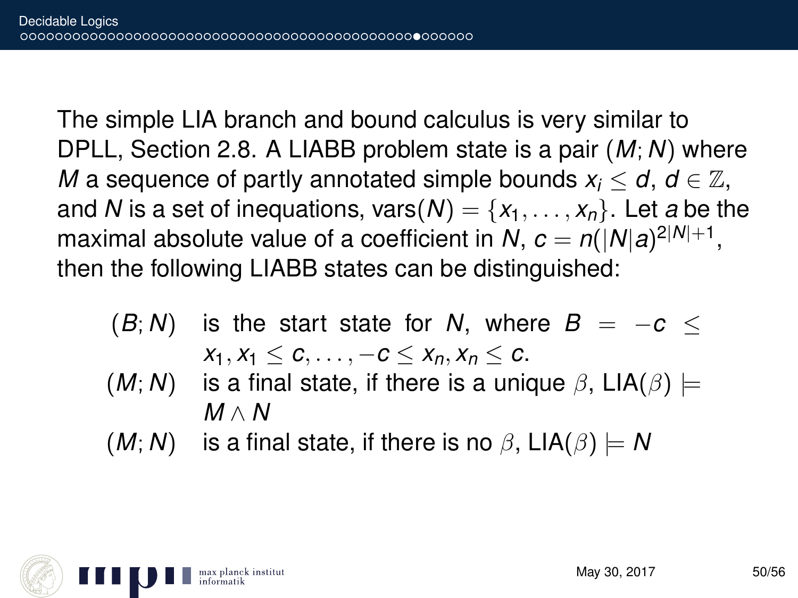The simple LIA branch and bound calculus is very similar to DPLL, Section 2.8. A LIABB problem state is a pair (*M*; *N*) where *M* a sequence of partly annotated simple bounds  $x_i < d$ ,  $d \in \mathbb{Z}$ , and *N* is a set of inequations, vars( $N$ ) = { $x_1, \ldots, x_n$ }. Let *a* be the maximal absolute value of a coefficient in N,  $c = n(|N|a)^{2|N|+1}$ , then the following LIABB states can be distinguished:

- $(B; N)$  is the start state for *N*, where  $B = -c$  <  $x_1, x_1 \leq c, \ldots, -c \leq x_n, x_n \leq c.$
- $(M; N)$  is a final state, if there is a unique  $\beta$ , LIA( $\beta$ )  $\models$ *M* ∧ *N*
- $(M; N)$  is a final state, if there is no  $\beta$ , LIA( $\beta$ )  $\models N$

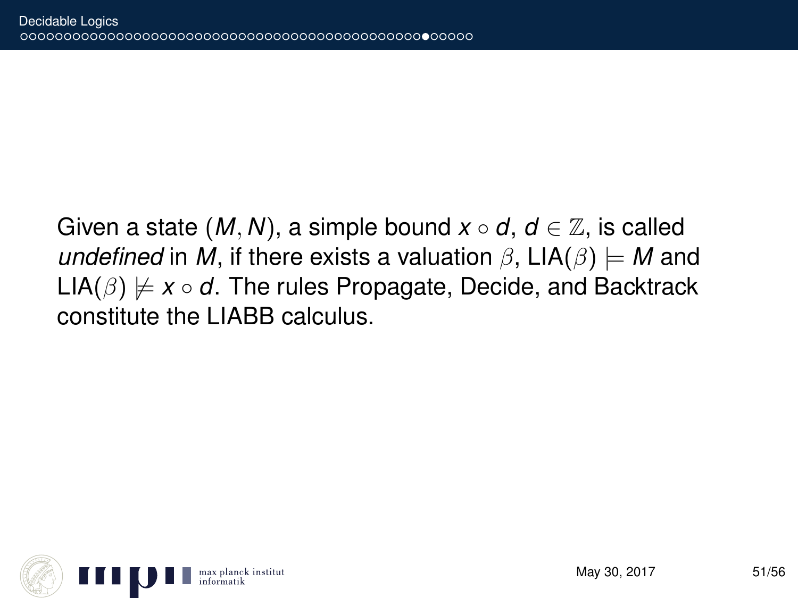Given a state  $(M, N)$ , a simple bound  $x \circ d$ ,  $d \in \mathbb{Z}$ , is called *undefined* in *M*, if there exists a valuation  $\beta$ , LIA( $\beta$ )  $\models$  *M* and  $LIA(\beta) \not\models x \circ d$ . The rules Propagate, Decide, and Backtrack constitute the LIABB calculus.

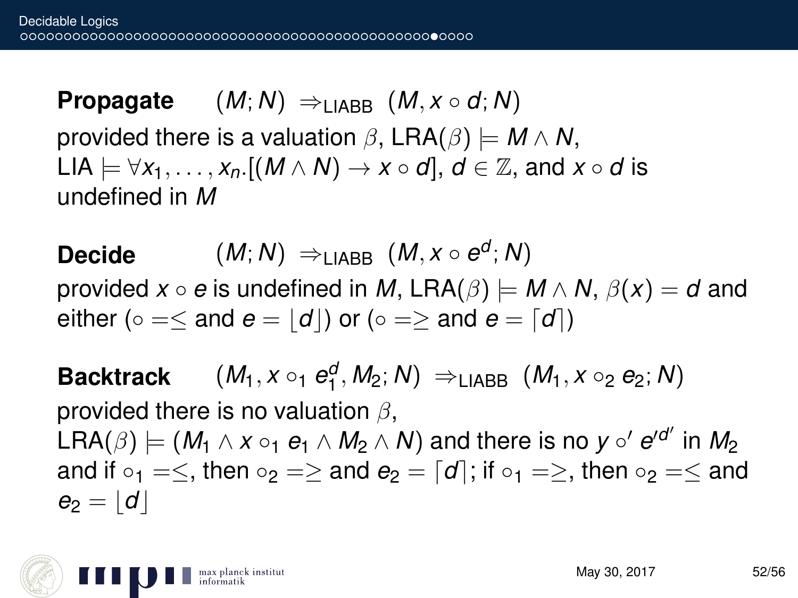**Propagate**  $(M; N) \Rightarrow$ LIABB  $(M, x \circ d; N)$ provided there is a valuation  $\beta$ , LRA( $\beta$ )  $\models M \wedge N$ , LIA  $\models \forall x_1, \ldots, x_n$ .[ $(M \wedge N) \rightarrow X \circ d$ ],  $d \in \mathbb{Z}$ , and  $X \circ d$  is undefined in *M*

 $\mathsf{Decide}$   $(M; N) \Rightarrow_{\mathsf{LIABB}} (M, x \circ e^d; N)$ provided  $x \circ e$  is undefined in *M*, LRA( $\beta$ )  $\models M \wedge N$ ,  $\beta(x) = d$  and either ( $\circ = \le$  and  $e = |d|$ ) or ( $\circ = \ge$  and  $e = [d]$ )

**Backtrack**  $(M_1, X \circ_1 e_1^d, M_2; N) \Rightarrow$ LIABB  $(M_1, X \circ_2 e_2; N)$ provided there is no valuation  $\beta$ ,  $\mathsf{LRA}(\beta)\models (\mathsf{M}_1\wedge \mathsf{x}\circ_1\mathsf{e}_1\wedge \mathsf{M}_2\wedge \mathsf{N})$  and there is no  $\mathsf{y}\circ'\mathsf{e}'^{\mathsf{d}'}$  in  $\mathsf{M}_2$ and if  $\circ_1 = \le$ , then  $\circ_2 = \ge$  and  $e_2 = \lceil d \rceil$ ; if  $\circ_1 = \ge$ , then  $\circ_2 = \le$  and  $e_2 = |d|$